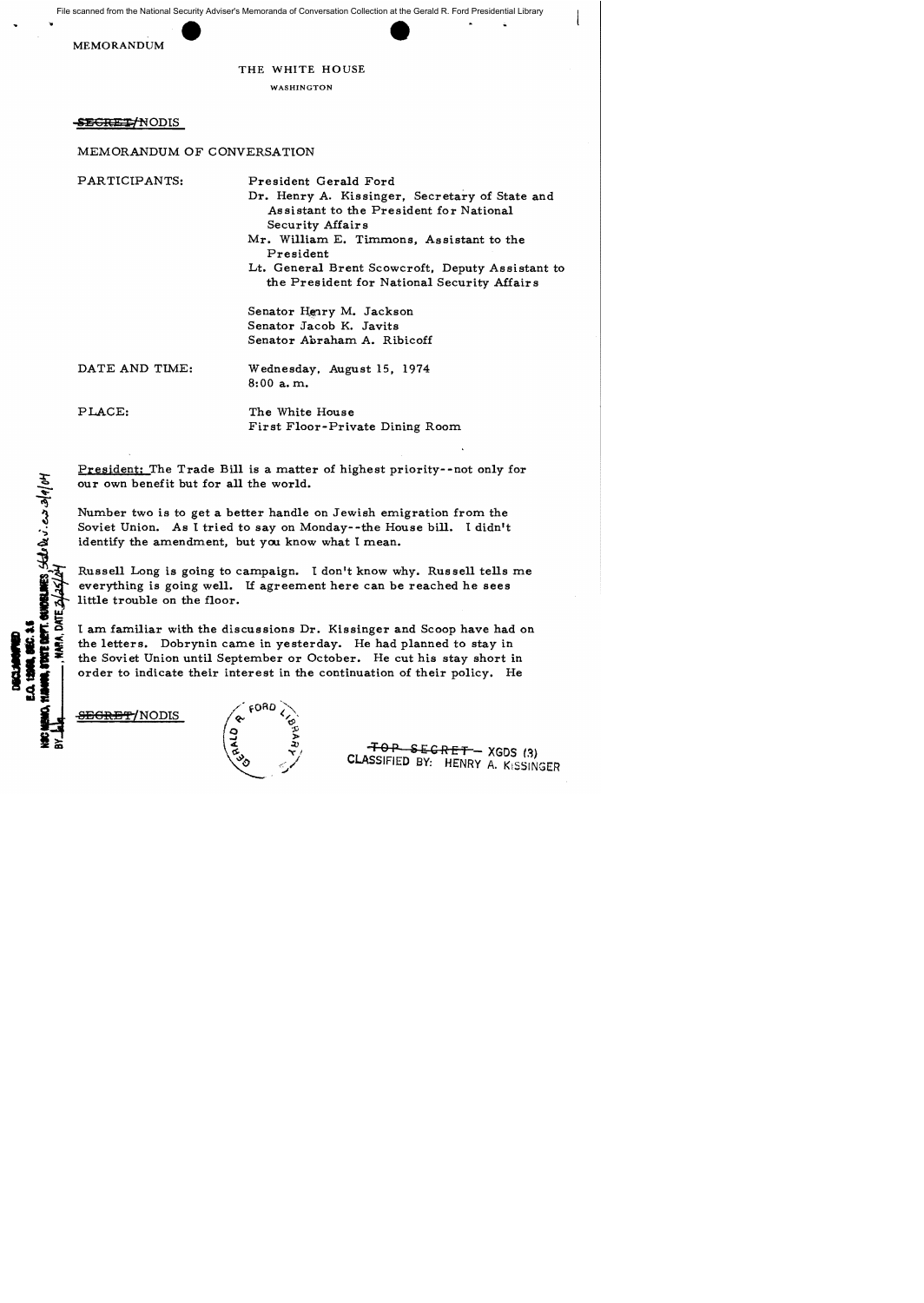File scanned from the National Security Adviser's Memoranda of Conversation Collection at the Gerald R. Ford Presidential Library



## THE WHITE HOUSE

WASHINGTON

SE<del>GRET/</del>NODIS

## MEMORANDUM OF CONVERSATION

PARTICIPANTS:

President Gerald Ford

Dr. Henry A. Kissinger, Secretary of State and Assistant to the President for National Security Affair s

Mr. William E. Timmons, Assistant to the President

Lt. General Brent Scowcroft. Deputy Assistant to the President for National Security Affairs

Senator Henry M. Jackson Senator Jacob K. Javits Senator Abraham A. Ribicoff

DATE AND TIME:

Wednesday, August 15, 1974 8:00 a. m.

PLACE:

**CREANES**, State Dev. ess sola/of

VIA, DATE Z

The White House First Floor-Private Dining Room

President: The Trade Bill is a matter of highest priority--not only for our own benefit but for all the world.

Number two is to get a better handle on Jewish emigration from the Soviet Union. As I tried to say on Monday--the House bill. I didn't identify the amendment, but you know what I mean.

Russell Long is going to campaign. I don't know why. Russell tells me everything is going well. If agreement here can be reached he sees little trouble on the floor.

I am familiar with the discussions Dr. Kissinger and Scoop have had on the letters. Dobrynin came in yesterday. He had planned to stay in the Soviet Union until September or October. He cut his stay short in order to indicate their interest in the continuation of their policy. He





 $-FOP$  SECRET - XGDS (3) CLASSIFIED BY: HENRY A. KiSSINGER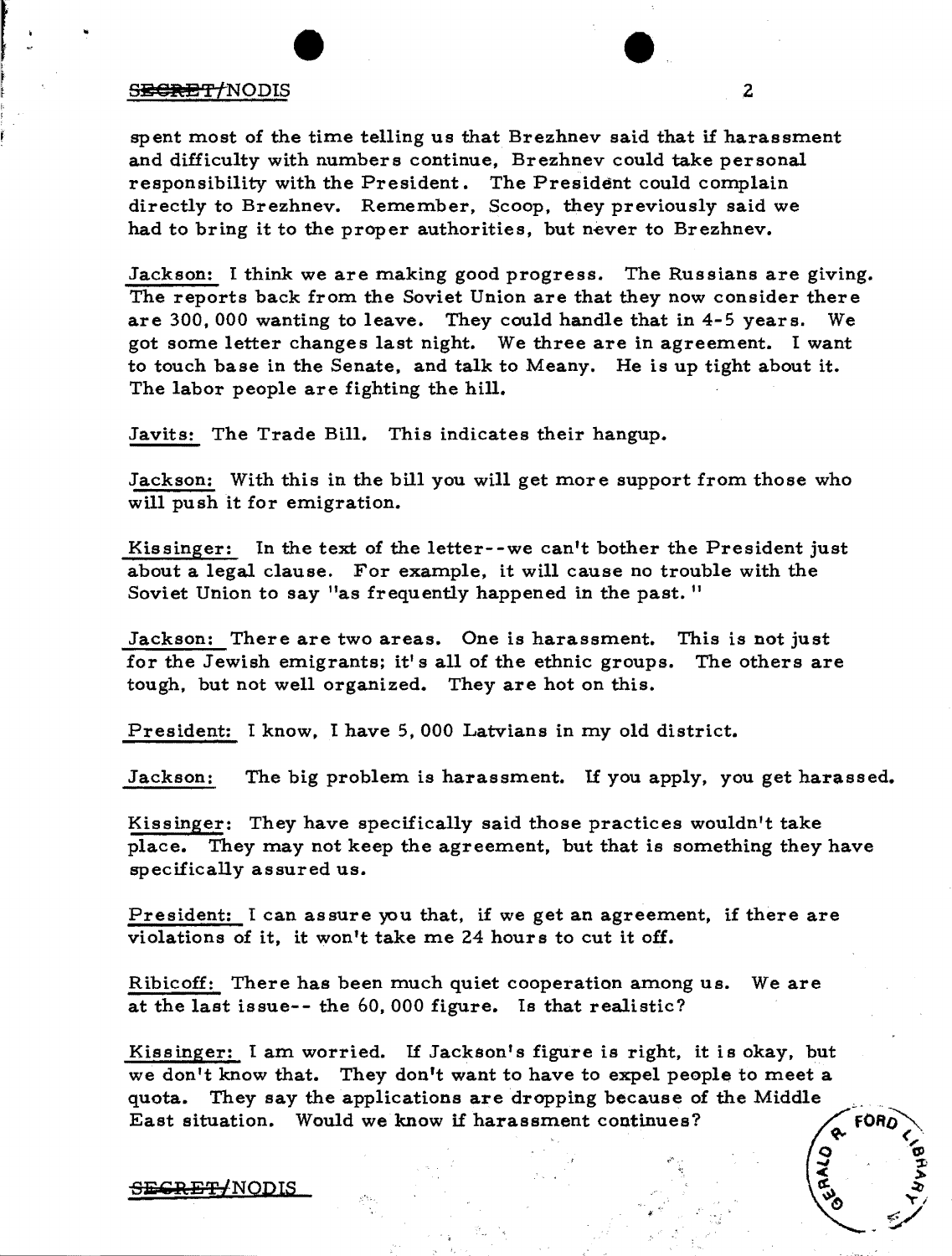## s<del>ecret</del>/NODIS 2

spent most of the time telling us that Brezhnev said that if harassment and difficulty with numbers continue, Brezhnev could take personal responsibility with the President. The President could complain directly to Brezhnev. Remember, Scoop, they previously said we had to bring it to the proper authorities, but never to Brezhnev.

Jackson: I think we are making good progress. The Russians are giving. The reports back from the Soviet Union are that they now consider there are 300,000 wanting to leave. They could handle that in 4-5 years. We got some letter changes last night. We three are in agreement. I want to touch base in the Senate, and talk to Meany. He is up tight about it. The labor people are fighting the hill.

Javits: The Trade Bill. This indicates their hangup.

Jackson: With this in the bill you will get more support from those who will push it for emigration.

Kissinger: In the text of the letter--we can't bother the President just about a legal clause. For example, it will cause no trouble with the Soviet Union to say "as frequently happened in the past."

Jackson: There are two areas. One is harassment. This is not just for the Jewish emigrants; it's all of the ethnic groups. The others are tough, but not well organized. They are hot on this.

President: I know, I have 5,000 Latvians in my old district.

Jackson: The big problem is harassment. If you apply, you get harassed.

Kissinger: They have specifically said those practices wouldn't take place. They may not keep the agreement, but that is something they have specifically assured us.

President: I can assure you that, if we get an agreement, if there are violations of it, it won't take me 24 hours to cut it off.

Ribicoff: There has been much quiet cooperation among us. We are at the last issue-- the 60, 000 figure. Is that realistic?

Kissinger: I am worried. If Jackson's figure is right, it is okay, but we don't know that. They don't want to have to expel people to meet a quota. They say the applications are dropping because of the Middle East situation. Would we know if harassment continues?



 $\circ$  .  $\circ$ ..." '.:fi  $\leq$   $5$ 

**1960**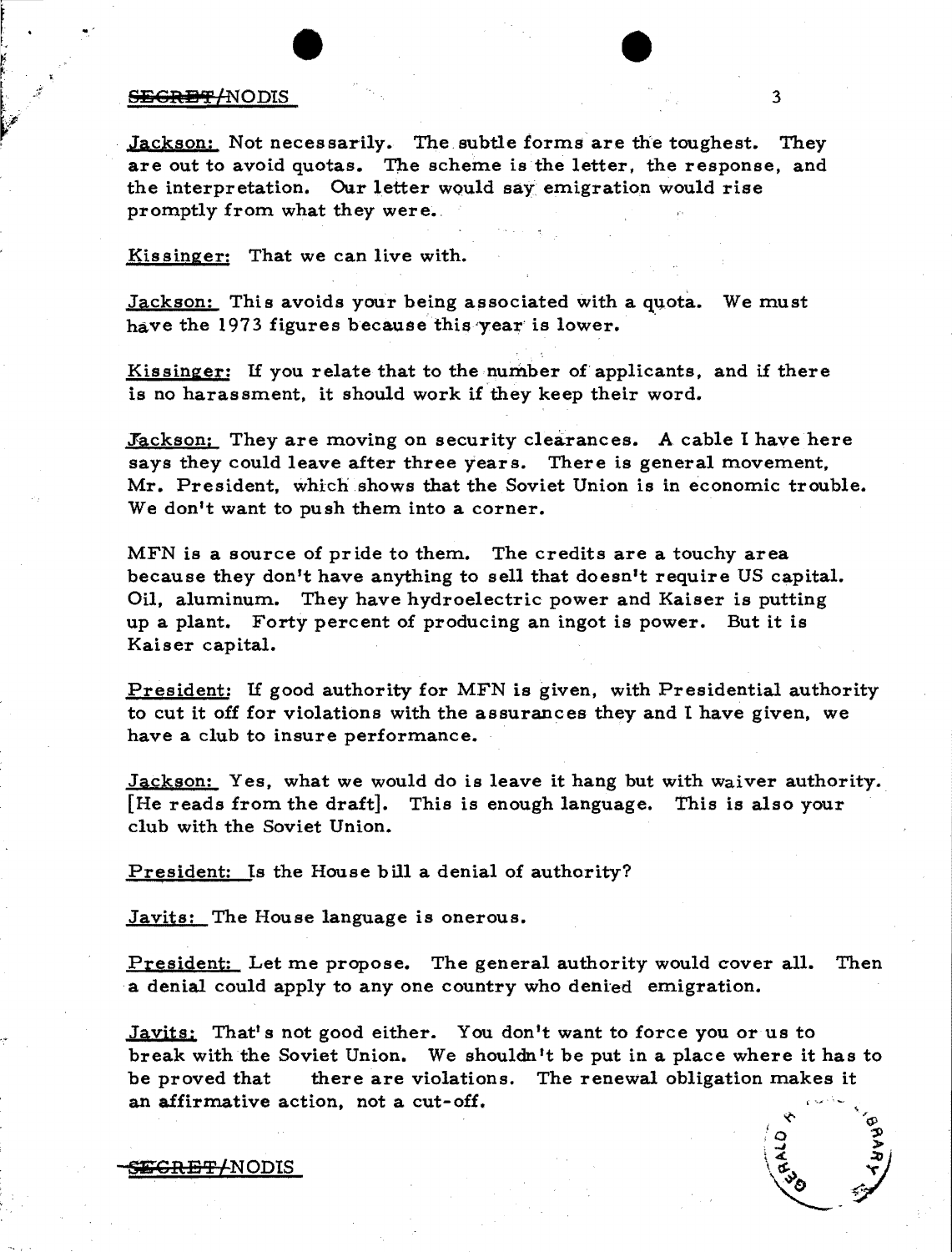### <del>SEGRET/</del>NODIS 3

· '

Jackson: Not necessarily. The subtle forms are the toughest. They are out to avoid quotas. The scheme is the letter, the response, and the interpretation. Our letter would say emigration would rise promptly from what they were.

Kissinger: That we can live with.

Jackson: This avoids your being associated with a quota. We must have the 1973 figures because this year is lower.

Kissinger: If you relate that to the number of applicants, and if there is no harassment. it should work if they keep their word.

Jackson: They are moving on security clearances. A cable I have here says they could leave after three years. There is general movement, Mr. President, which shows that the Soviet Union is in economic trouble. We don't want to push them into a corner.

MFN is a source of pride to them. The credits are a touchy area because they don't have anything to sell that doesn't require US capital. Oil, aluminum. They have hydroelectric power and Kaiser is putting up a plant. Forty percent of producing an ingot is power. But it is Kaiser capital.

President: If good authority for MFN is given, with Presidential authority to cut it off for violations with the assurances they and I have given, we have a club to insure performance.

Jackson: Yes, what we would do is leave it hang but with waiver authority. [He reads from the draft]. This is enough language. This is also your club with the Soviet Union.

President: Is the House bill a denial of authority?

Javits: The House language is onerous.

President: Let me propose. The general authority would cover all. Then a denial could apply to any one country who denied emigration.

Javits: That's not good either. You don't want to force you or us to break with the Soviet Union. We shouldn't be put in a place where it has to be proved that there are violations. The renewal obligation makes it an affirmative action. not a cut-off.

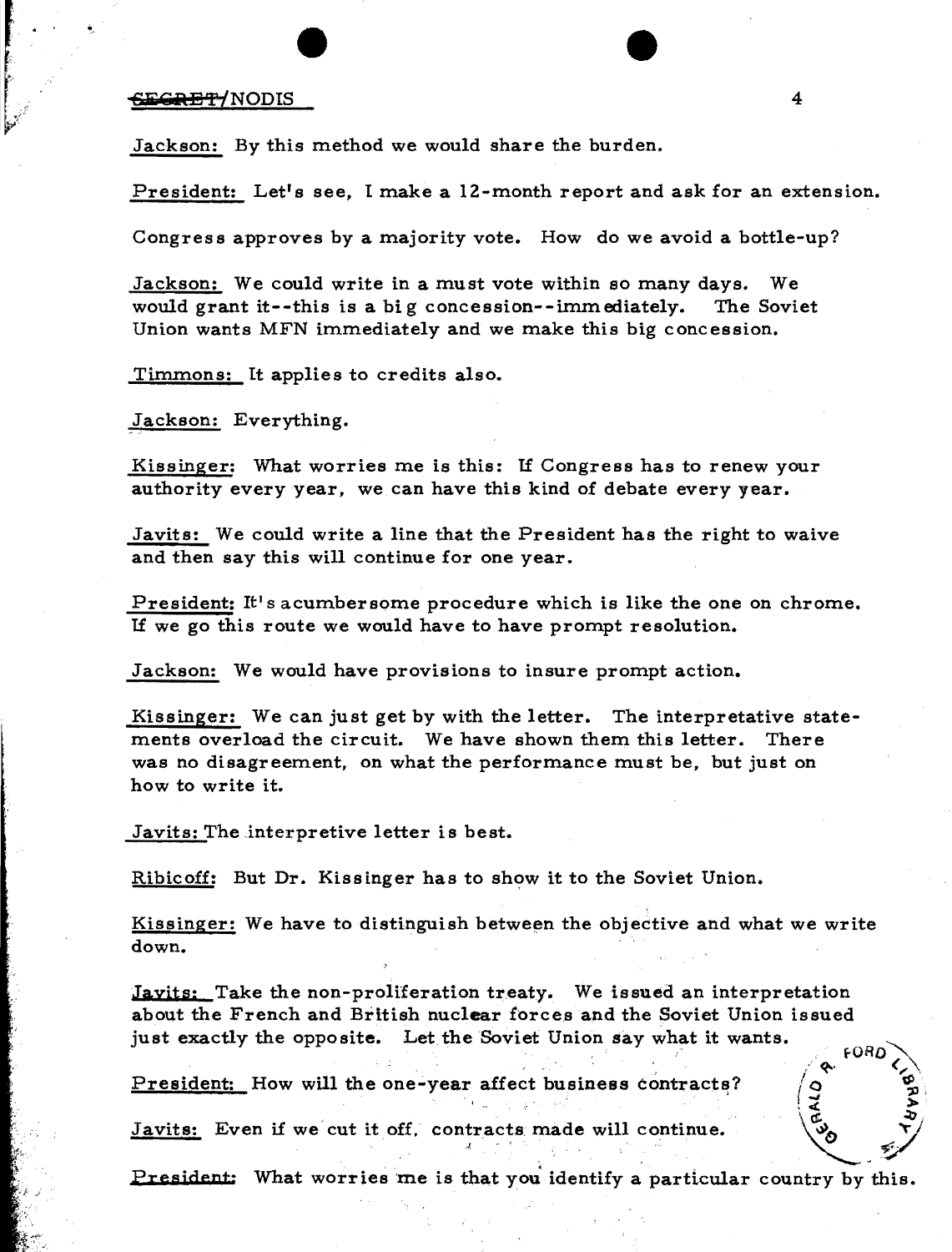## **'§iO .:iRiS** 'f' (NOD IS 4

 $\ddot{\phantom{0}}$ 

Jackson: By this method we would share the burden.

President: Let's see, I make a 12-month report and ask for an extension.

Congres s approves by a majority vote. How do we avoid a bottle-up?

Jackson: We could write in a must vote within so many days. We would grant it--this is a big concession--immediately. The Soviet Union wants MFN immediately and we make this big concession.

Timmons: It applies to credits also.

Jackson: Everything.

Kissinger: What worries me is this: If Congress has to renew your authority every year, we can have this kind of debate every year.

Javits: We could write a line that the President has the right to waive and then say this will continue for one year.

President: It's acumbersome procedure which is like the one on chrome. If we go this route we would have to have prompt resolution.

Jackson: We would have provisions to insure prompt action.

Kissinger: We can just get by with the letter. The interpretative statements overload the circuit. We have shown them this letter. There was no disagreement, on what the performance must be, but just on how to write it.

Javits: The interpretive letter is best.

Ribicoff: But Dr. Kissinger has to show it to the Soviet Union.

Kissinger: We have to distinguish between the objective and what we write down.

Javits: Take the non-proliferation treaty. We issued an interpretation about the French and British nuclear forces and the Soviet Union issued just exactly the opposite. Let the Soviet Union say what it wants.

President: How will the one-year affect business contract~? ( () <sup>~</sup> " :;:')0.

President: How will the one-year affect business contracts?<br>Javits: Even if we cut it off. contracts made will continue. , . !./

President: What worries me is that you identify a particular country by this.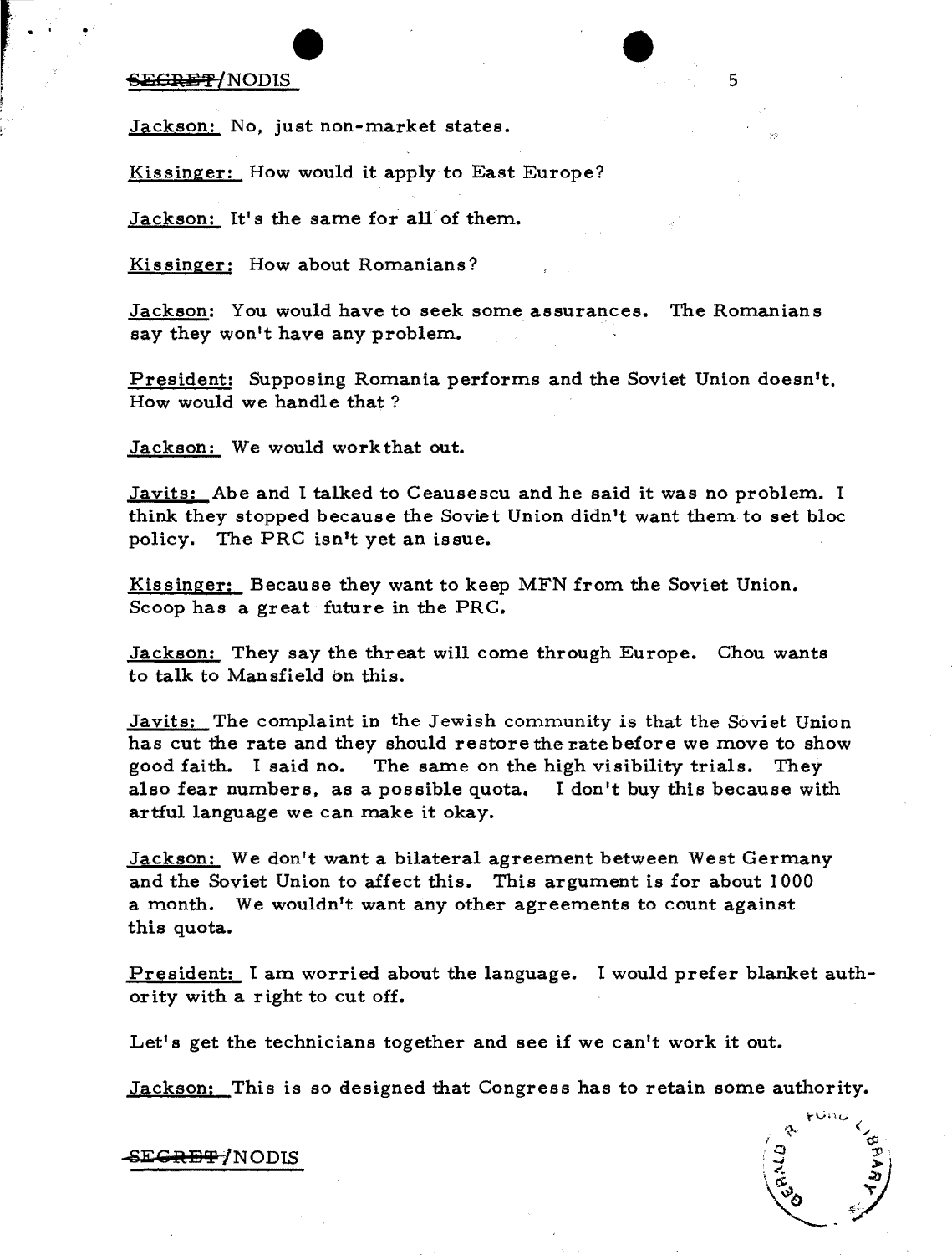## $-$ **6 iii C:** General Seconds 5

Jackson: No, just non-market states.

Kissinger: How would it apply to East Europe?

Jackson: It's the same for all of them.

Kissinger: How about Romanians?

Jackson: You would have to seek some assurances. The Romanians say they won't have any problem.

President: Supposing Romania performs and the Soviet Union doesn't. How would we handle that?

Jackson: We would work that out.

Javits: Abe and I talked to Ceausescu and he said it was no problem. I think they stopped because the Soviet Union didn't want them to set bloc policy. The PRC isn't yet an issue.

Kissinger: Because they want to keep MFN from the Soviet Union. Scoop has a great future in the PRC.

Jackson: They say the threat will come through Europe. Chou wants to talk to Mansfield on this.

Javits: The complaint in the Jewish community is that the Soviet Union has cut the rate and they should restore the rate before we move to show good faith. t said no. The same on the high visibility trials. They also fear numbers, as a possible quota. I don't buy this because with artful language we can make it okay.

Jackson: We don't want a bilateral agreement between West Germany and the Soviet Union to affect this. This argument is for about 1000 a month. We wouldn't want any other agreements to count against this quota.

President: I am worried about the language. I would prefer blanket authority with a right to cut off.

Let's get the technicians together and see if we can't work it out.

Jackson: This is so designed that Congress has to retain some authority.

E<del>CRET</del>/NODIS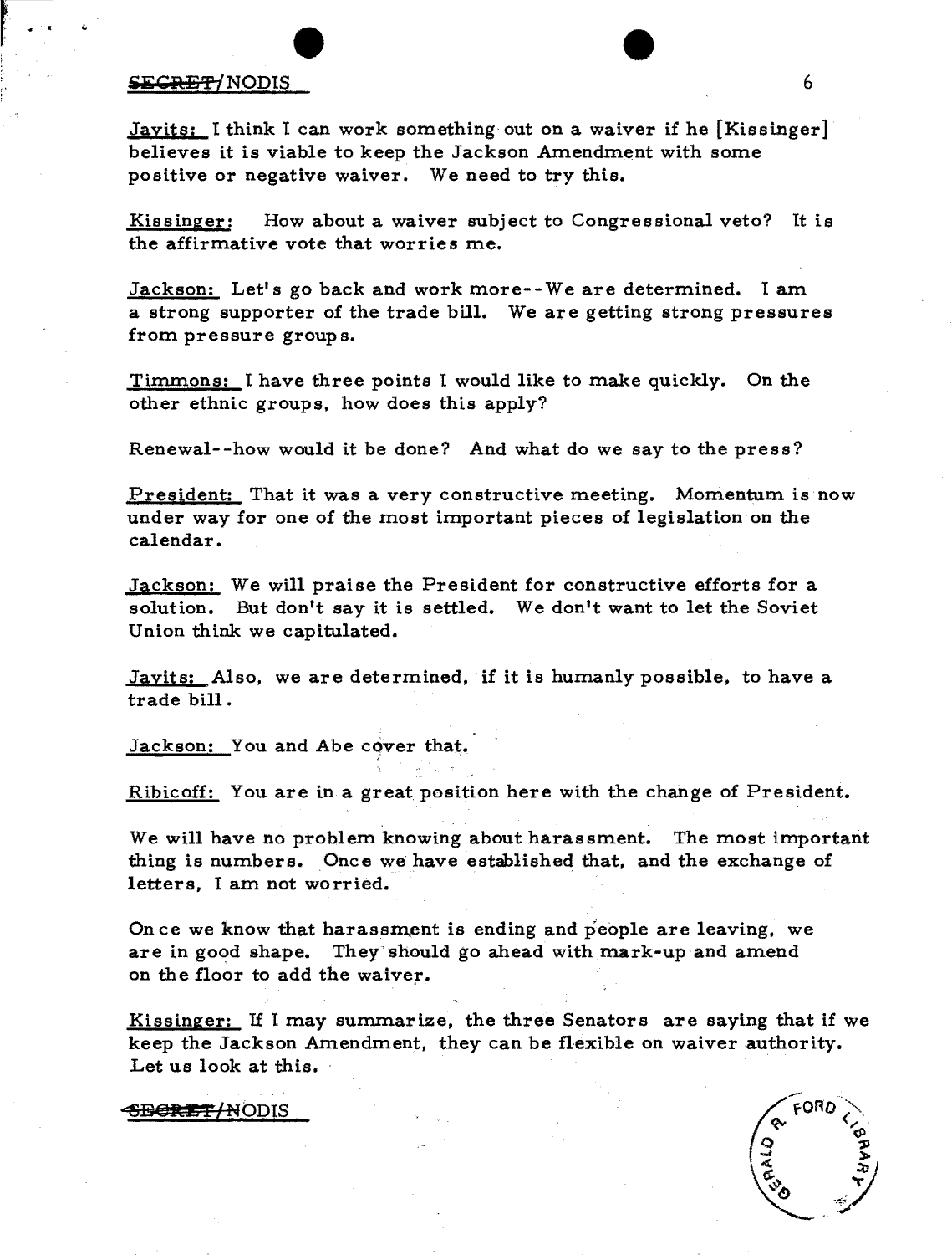## $\overline{\text{SEGRE}}$ t/NODIS 6

Javits: I think I can work something out on a waiver if he [Kissinger] believes it is viable to keep the Jackson Amendment with some positive or negative waiver. We need to try this.

Kissinger: How about a waiver subject to Congressional veto? It is the affirmative vote that worries me.

Jackson: Let's go back and work more--We are determined. I am a strong supporter of the trade bill. We are getting strong pressures from pressure group s.

Timmons: I have three points I would like to make quickly. On the other ethnic groups, how does this apply?

Renewal--how would it be done? And what do we say to the press?

President: That it was a very constructive meeting. Momentum is now under way for one of the most important pieces of legislation on the calendar.

Jackson: We will praise the President for constructive efforts for a solution. But don't say it is settled. We don't want to let the Soviet Union think we capitulated.

Javits: Also, we are determined, if it is humanly possible, to have a trade bill.

Jackson: You and Abe cover that.

Ribicoff: You are in a great position here with the change of President.

We will have no problem knowing about harassment. The most important thing is numbers. Once we have established that, and the exchange of letters, I am not worried.

On ce we know that harassment is ending and people are leaving, we are in good shape. They should go ahead with mark-up and amend on the floor to add the waiver.

Kissinger: If I may summarize, the three Senators are saying that if we keep the Jackson Amendment, they can be flexible on waiver authority. Let us look at this.

### ~BeRE + *INODIS*

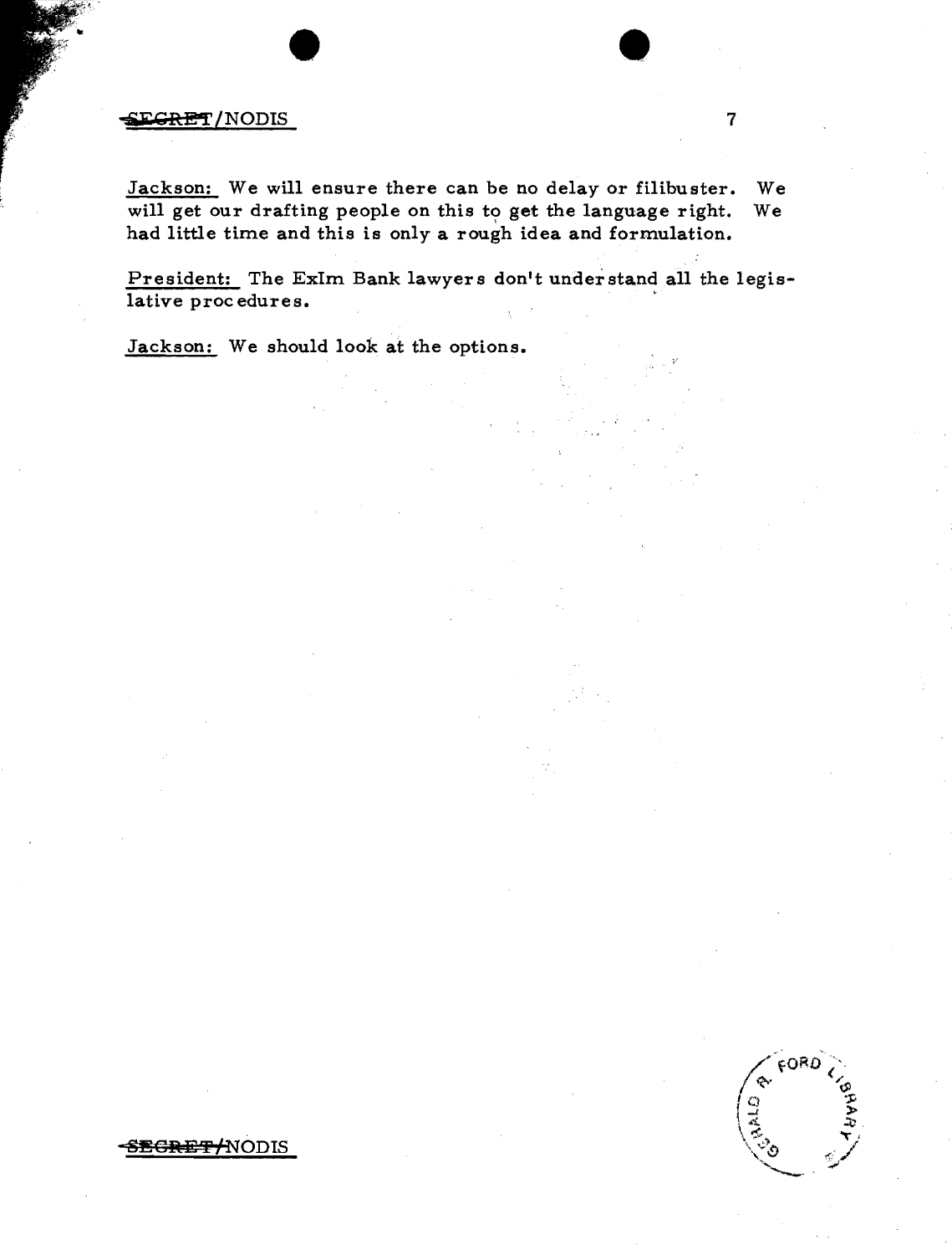## $\mathsf{RET}/\mathsf{NODIS}$  7

Jackson: We will ensure there can be no delay or filibuster. We will get our drafting people on this to get the language right. We had little time and this is only a rough idea and formulation.

President: The ExIm Bank lawyers don't understand all the legislative procedures.

Jackson: We should look at the options.



8EGRET ANODIS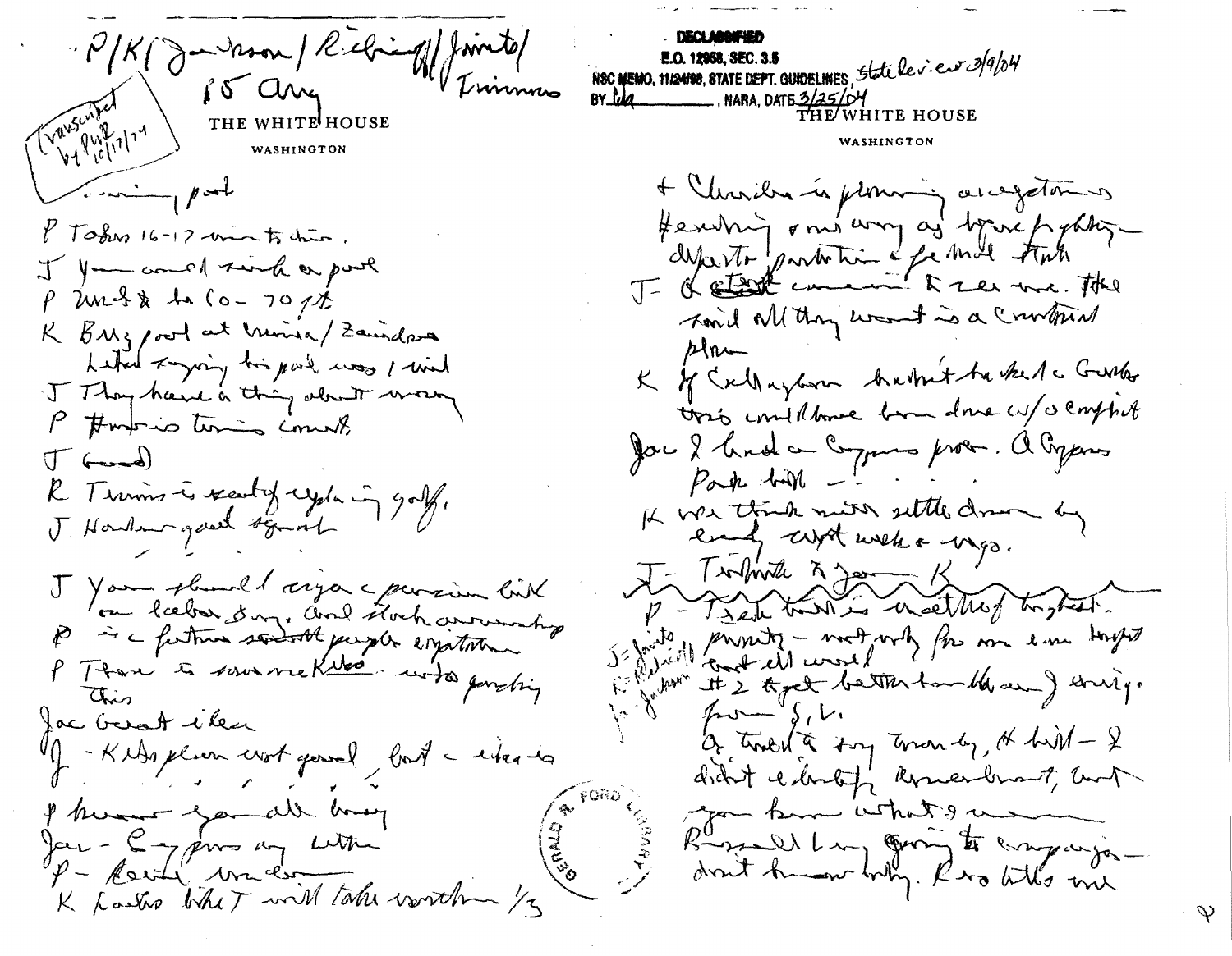P/K (Juman Rebind) Trimmo  $\int \delta$  and Transcriber BY 119 MARA, DATE 3/25/0 THE WHITE HOUSE W. Puffill WASHINGTON WASHINGTON  $\sqrt{2\pi\left(1-\frac{1}{2}\right)}$  $8$  Today 16 - 12 mm to drive. I you comed sund or pool  $\rho$  und & to (0-70pt K BMz pool at mina/Zamalara  $P$ Letter zaging his part was I wish I Though care a thing about way P #moris times comet.  $\int f(x)dx$  $\beta$ ak till -R Timms is readily cycle in golf. J. Howken good squat J Your plumed arga a parsion lik for haber day, and stock arranging p - c future send the purple expectation P Ttan & source Killed with parching Lu have chis  $%$ fac beroft then -KNAs placen work good fort - when is I know you all hang Jan-C-ypins my with  $\gamma -$  Reside water K Lastro Whet will take worth /3

NOC MEMO, 11/2488, STATE DEPT. GUIDELINES State le v. euro 3/9/04 THE WHITE HOUSE + Christian is promining are getomens Hendrig sont voy as boie pour Timed all thing want is a crowtown K of Callayton Autrit to kel a Gusta toris conditione form done cut a conflict Jou 2 broda compara prov. a Organis It was think min settled more by early with welk a wago. J- Infinite A Jam K p - Treat that is in althof tright Je faite principal - modernes en em son toujours It 2 typet better handled away string. Of tradition for the top of held - & didn't charling komendement, but you know what I would Rossell Lui Omj to empartie-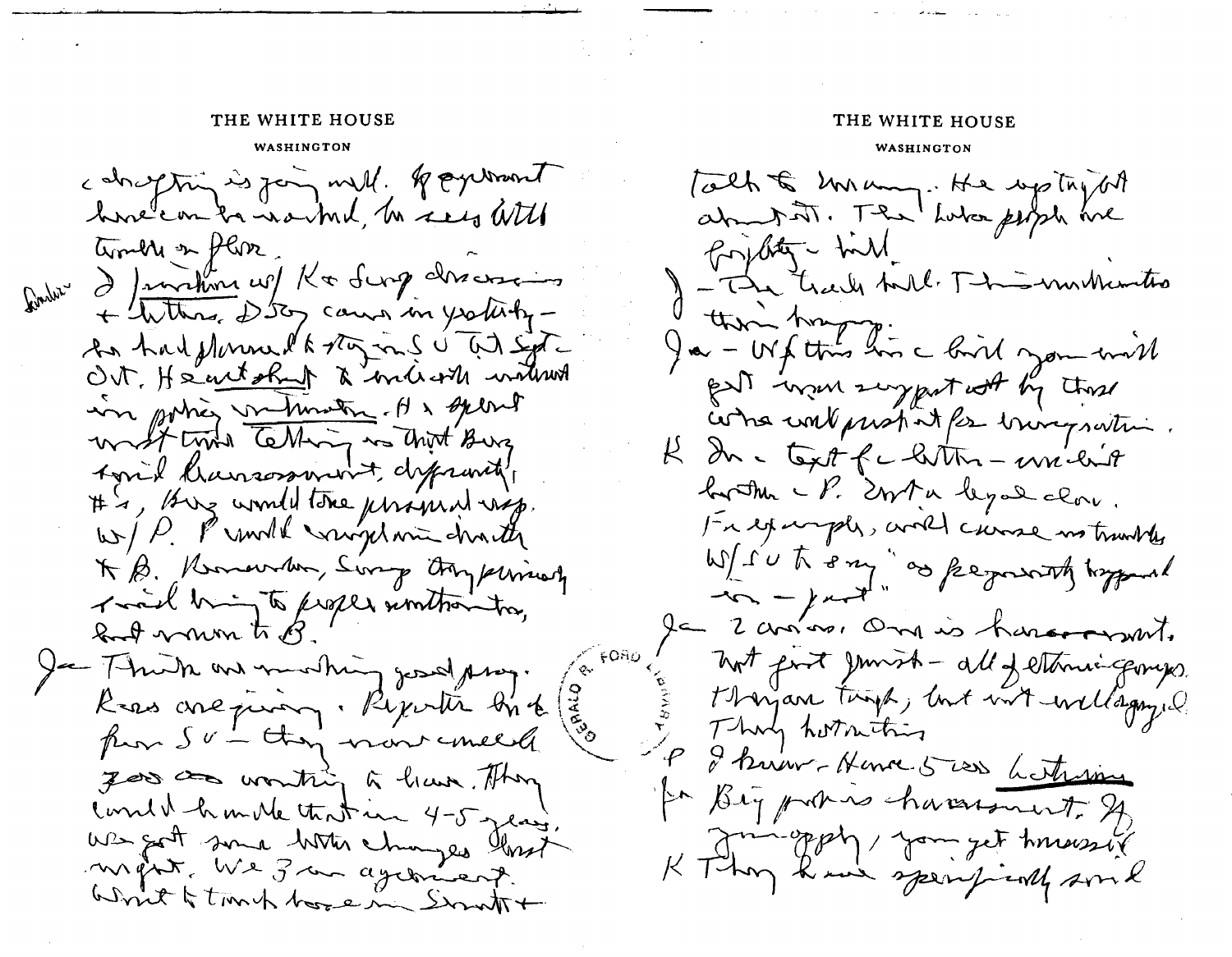## THE WHITE HOUSE THE WHITE HOUSE

WASHINGTON WASHINGTON

conoghing is join will. Registrant hove con to no ml, to see With timbre in flore Rouber d'Invention cof Ka Surg des assems + Withres 2507 causes in yorkishy-An had prime la vaz mé u at sigt OUT, He entakent à miliaire inder in porties metunating. His splont writ tyne telling is thirt Burg Agril Cursosmert, diffrantly # 4, Biz would the unimal wap. K B. Kommonder, Song Orypering Toal hing to proper similiarities, food varm to B Je 7 truth and monthing good pray. Reas are person. Reporter bir de from Sv - they more unled good as wonthing a have. They Comment humille that in 4-5 years. We got some bitter changes that Write to truck home in Smatt+

Talk to har many. He up try the abound it. The Luba people are for bity - till - The track hall This motherities Ja - We this his - bird you will put in more emportant by the come contenintat for bringswith R du c text fc littre - un lit by the UP. Ersta legal class. For example, and cause no transler Wir to fam as permant typing  $\rightarrow$ le 2 avriro, One is haven rout. not post junish - all Jethnic gonges. thougan turns, lost with wellagry. Thing horniting I know - Hence 5 was <u>hotering</u> for Big proties character to 24, Durchland being the provision K They have specifiedly some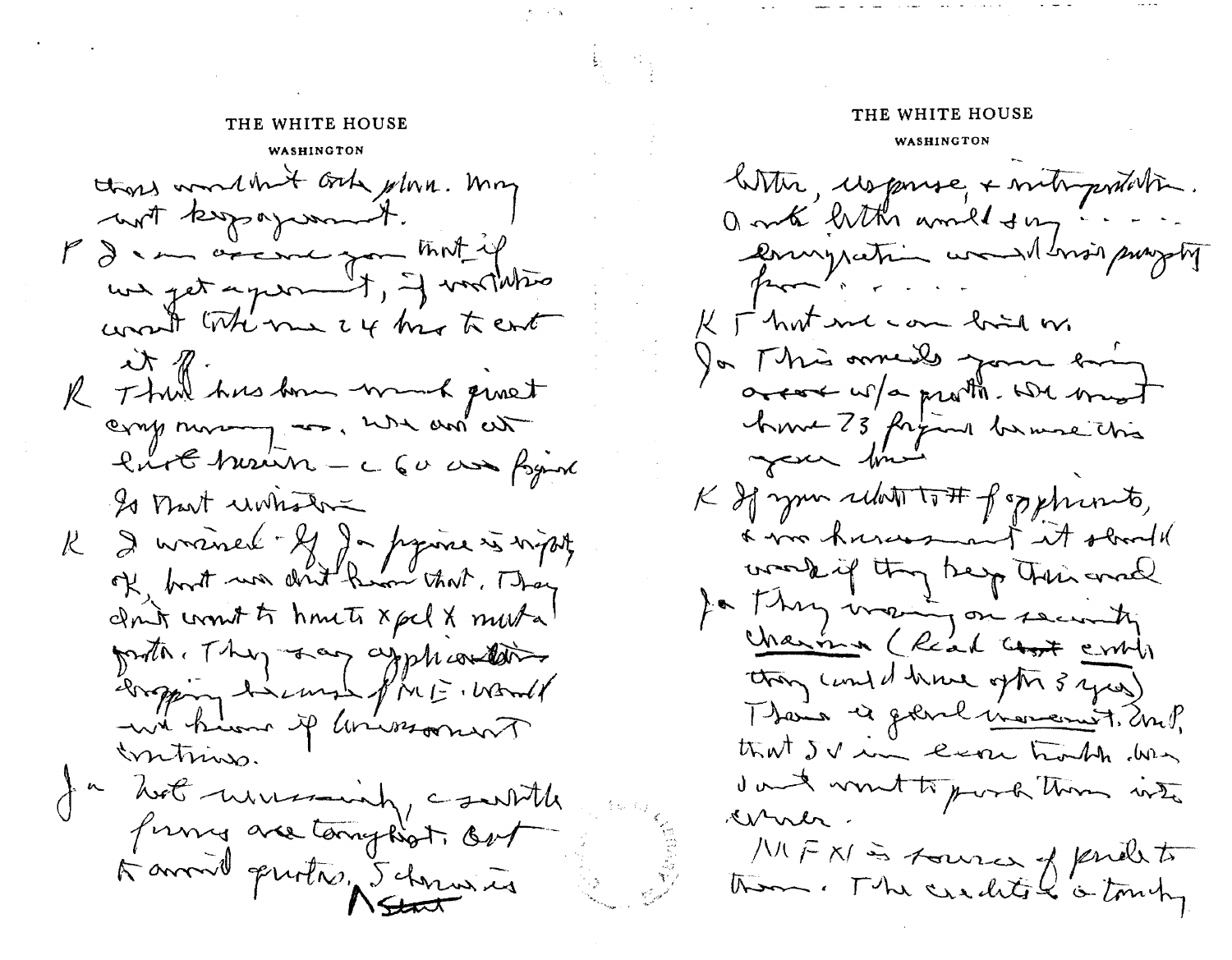WASHINGTON those wondered only plan. May turn program P de marine que that if we get a per t , I vortation want the me 24 month cont  $\lambda x \ll$ . R Think has been won't quest camp movemy are, when and cut lurt hourn - c 60 as figure Is that unhatre R 2 maines 21 de province à ministre of bort was don't know that, They don't won't to homets xpcl x mouto proto They say applications bropping harmond fine E. World with him if animaring mtins. a hot ususming, country formes are tony hot. Out A avenil quotas, Schranier

# THE WHITE HOUSE THE WHITE HOUSE WASHINGTON With Uspruse, + mitropositestin. a mik hith would day poury ration would have project  $\sim$ K I hat en com bind or Ja Mis omeils your hi areas w/a protto. We must have 73 figural banne chis your time K If your relation of opphrouts, a von hususment et stood working they hap their and Ja Thry many on security charina (Read Cost contr they cand drive ofthe 3 years) Ttais à générationnement. Un? that IV im ever houble was dans vont to port them into Druer. MFNS foures of pendent them. The credits & is toming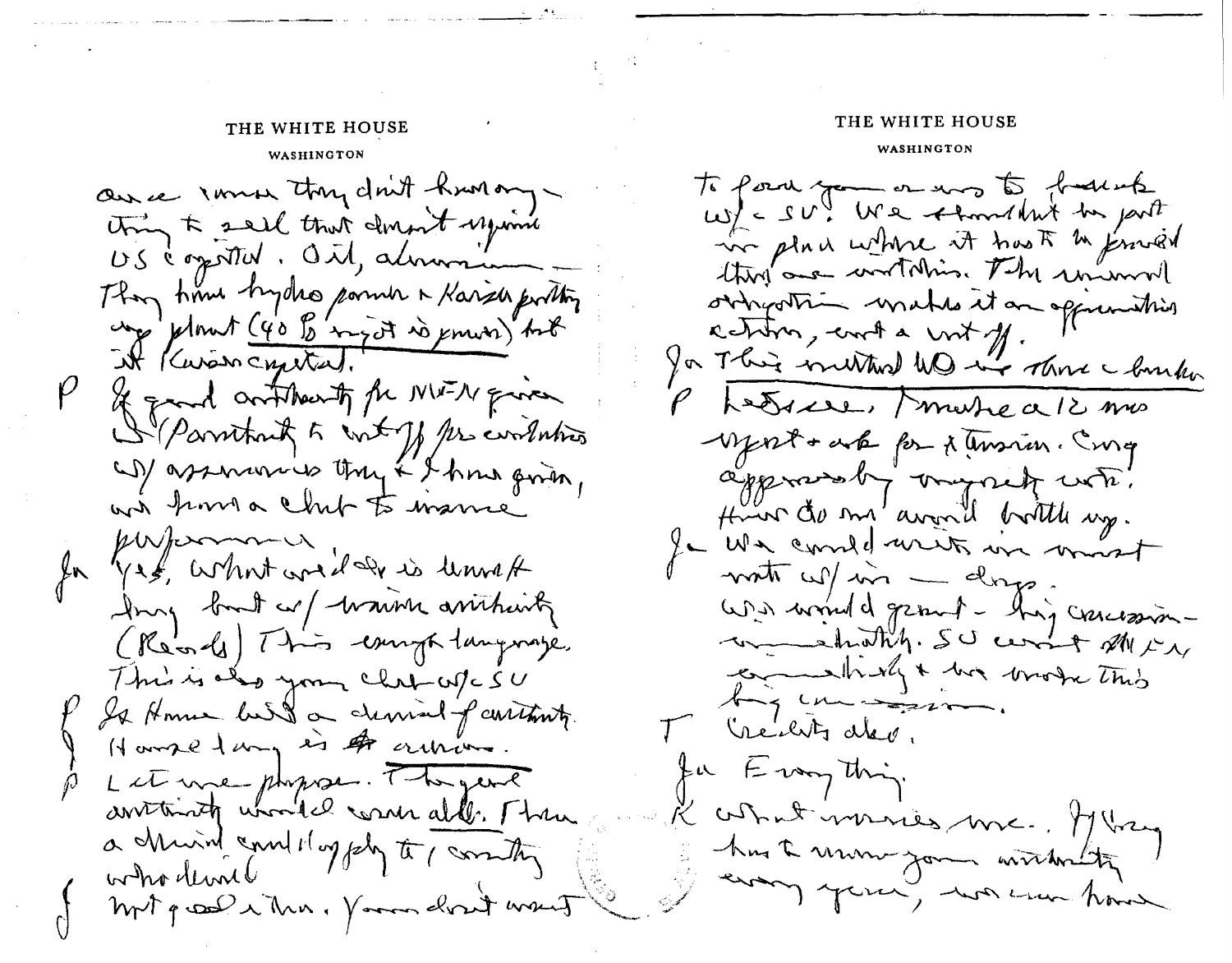## WASHINGTON WASHINGTON

au ce immer thy don't hun ong thing to sail that dinnet upon US communités dit, almonte They have hydro panner a Karse portin ung plomet (40 % inget is power) but P & grand outstreath for NW-N quien Il parritant to tout of the continuous (1) assurances they & I have given, wis kind a chit to warner Ja kussermann. Jury but or warm arritmenty (Récords) This campa tanguage. This is also your children CD Is Home build on demand of containty. Harrie 1 mg is 4 articles. Let une physical They and anistricity whould come all. Then a church and 1 oggely to commit who dend mit groot when I good don't want

## **THE WHITE HOUSE THE WHITE HOUSE**

to point you on many to frames  $uy'_{\ell}$  =  $SU^{\prime\prime}_{\ell}$  We thought to put we place where it has to the proved thing and writching. The unimon oringothin makes it an oppimiting centin, and a wit off. for This invitand WD in Those I bunk Phedrice, marré a 12 mas - Mart + auto for x temsion. Emg approvedly organizate. Huin de mi avant pottle up. Je We considerate in most with which - days. We would great - highersomwe strathy. SU comet MIX commently & big brook this by unique. Theiluts alev. fu Everything. L'astrat monies me. Mary hus a mon jour withing every your, was now have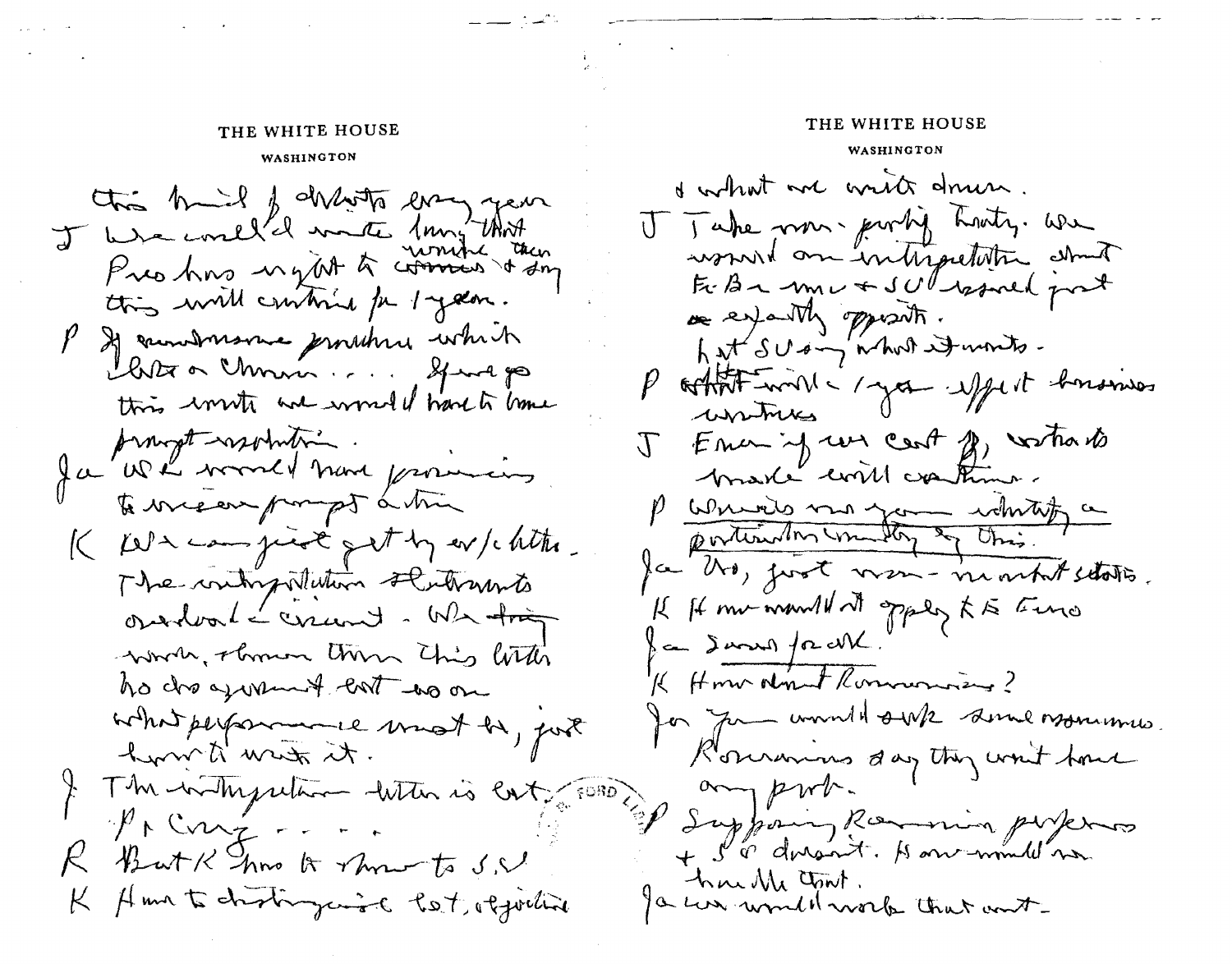## THE WHITE HOUSE

#### WASHINGTON

this built of drawing way year I we could'd mate 1mg that Pres hors ugat to comment then this will continue for 1 years. P & cambinaire jointer which Chite a monin .... Sprage this worth and wonded have to have prompt resolution. Ja Wh word have providing to we ear pompt a time  $K$  kel a campion of  $\mathcal{F}$  by ev/chita. The contropolition stutomonto ossalval - crund - We trig words, obmin this little ho dis agreement cost wo on what performed must be, port turn to met it. The history return with is cat, FORD?  $\psi \wedge Cov_{\mathcal{I}}$ ButKhook how to S.V Ama to chostrogenist Post, objective  $K$ 

#### THE WHITE HOUSE

#### WASHINGTON

& what we write drun. V Take non-portif Louty. we women's an interpretation about Fr. Ba mu + SUl warned post re expandly opposite. hat SUsing what is words. P othert will a year uppert bonsmes untures J Emer if we cent of vartiable brake could continue. P write me you white a portionalis manday & this. for the, just vien- number states. If It me would at opper to the  $\mathcal{S}$  and  $\int$  a cM. K Home don't Rommondians? for you would senk some moments. Rourannes day they want trave any prob. I Supposing Romania purposes + S'à dorsait. Honormul no hur Me Junt. I can wonder work that ont-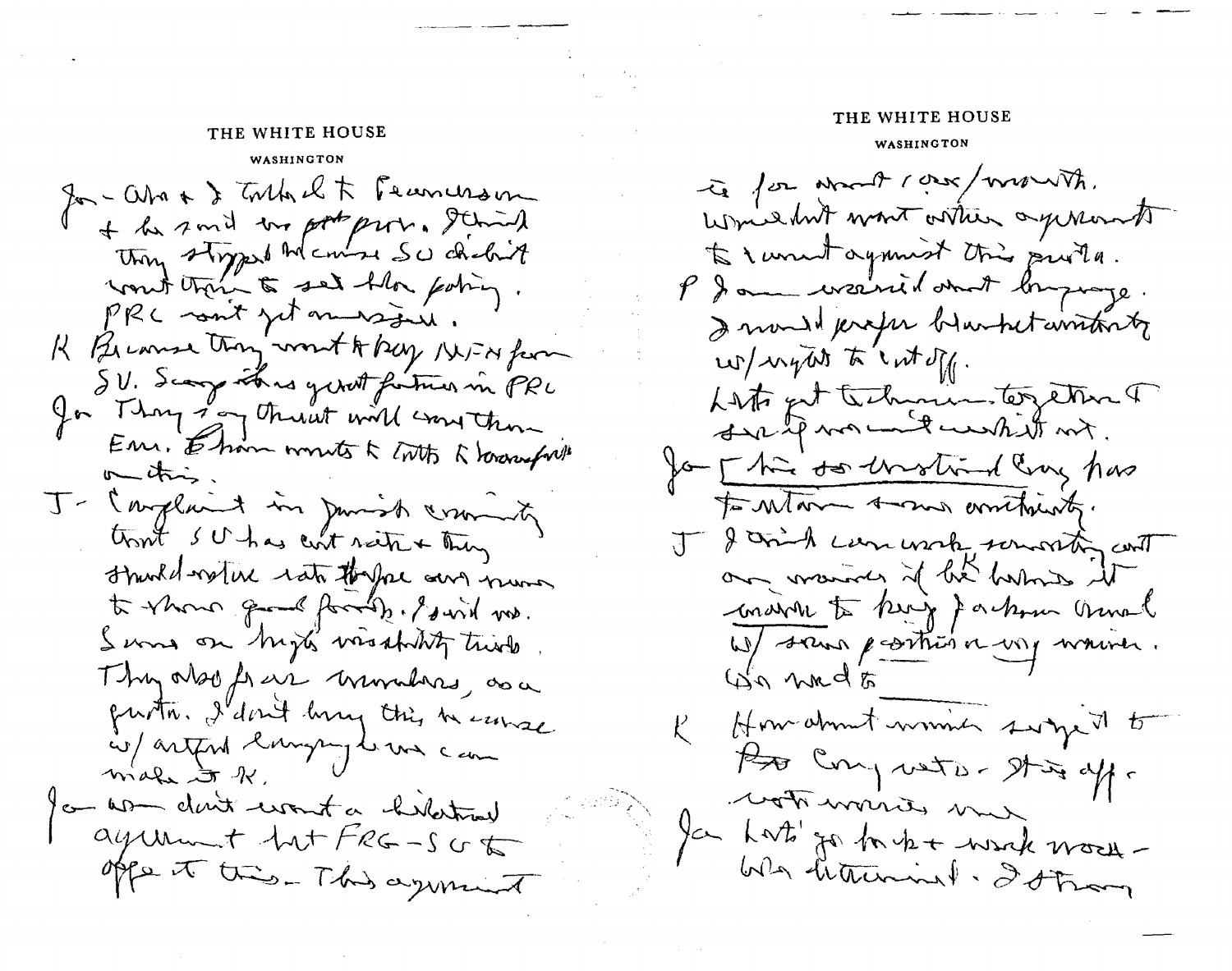### THE WHITE HOUSE

WASHINGTON Jan-Ostro & Toutoult Franceson + he said the pot prov. I had they styped to course SU debit PRC sont jet messais. K Because they won't to bey INFA for SV. Scarp this girl fortun in PRL In Thoughough throwth will construct Em. Ehm wonte k toth & lower fritt  $m_{\text{min}}$ J- Conglaint in Junish cruming tront SU has curt saite & They strucked-rate rate theyal and numer to whom good formity. I wish no. Serves on high visability twick Thy also frais muradas, as a partir. I don't hang this heaven is/artful largen le une cam make to 1 on women don't wont a hilatomy ayunt tut FRG-SUG offer to this - This again it

## THE WHITE HOUSE

#### WASHINGTON

te for what care/want. Which hit want orther agenerate to I wont against this prota. P I am weaked and longinge. I mondel peroper blunhet constants  $\omega/\omega$  for  $\kappa \cdot \omega$ Lists get technics together T sur le monde un til mit. for [ his to the string has to Mar Amon amthing. J & come use which we with and our marines if he harmies it condit to king Jackson annal W/ sans parties a voy waiver. Go wade How about woming swingert to offer the - aten prod off. won work me Jan harts go for the to work work-We hauning. Istron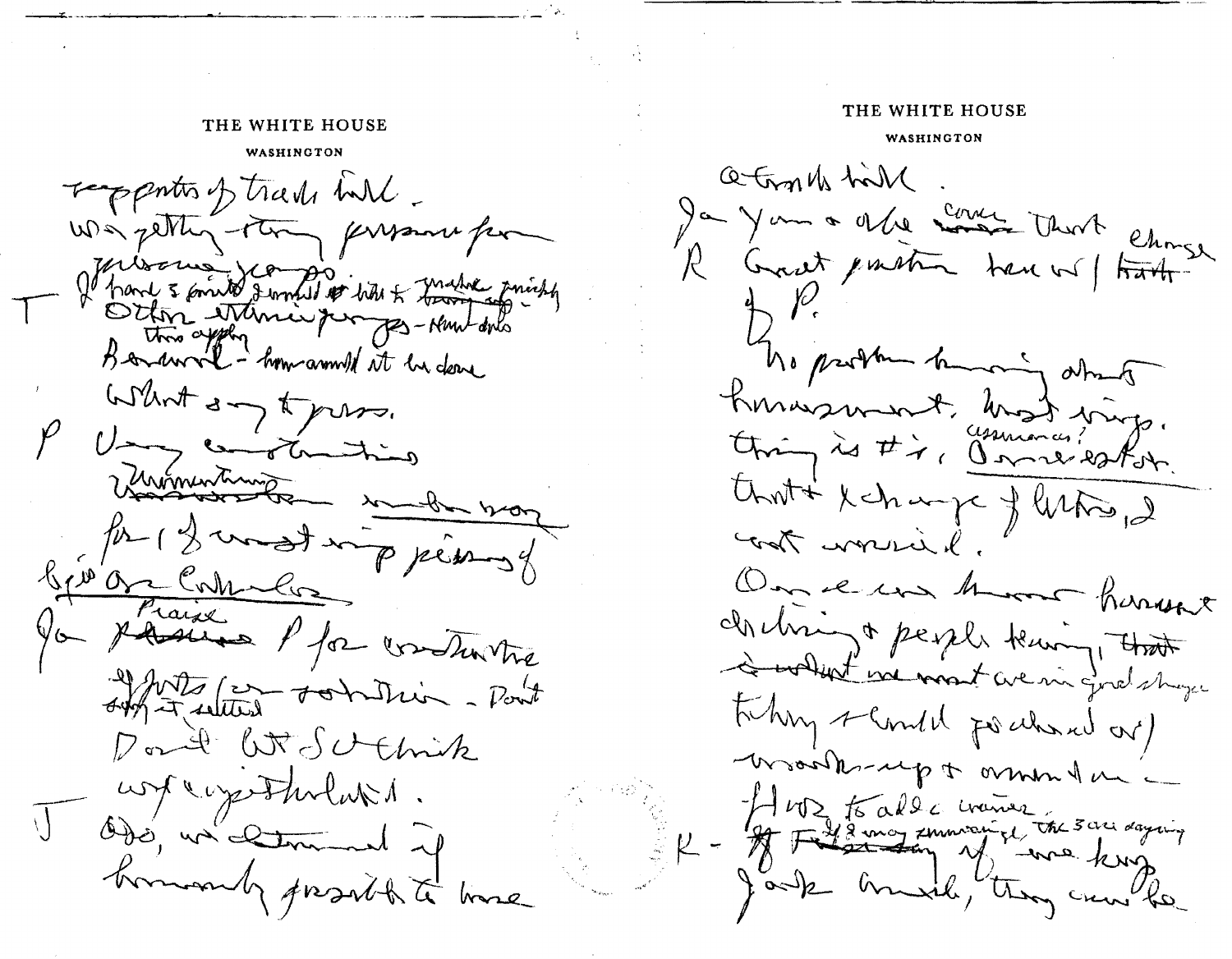### THE WHITE HOUSE

### THE WHITE HOUSE

#### WASHINGTON

responts of trade int was petting the pressure for If hard 3 points sommed to bite & making printing What any topress. Uning complementing Veronentime en 100 for 12 most imp permany bjøbe comment out with commission - Point Don't W. Scthick Assolution of the property. J Odé, un comment y hommandy provide to home

WASHINGTON

a trouble hill Ja Jan a ville cours that chose The problem humor dhang Konnasment, most ving. that is in my of listing, 2 I work in On en mor hanne chebring & people teaming, that I what we most we in good shops taking slanded for alward out) Woodbrug & mm la R - A 102 to alde cranos in sou daying